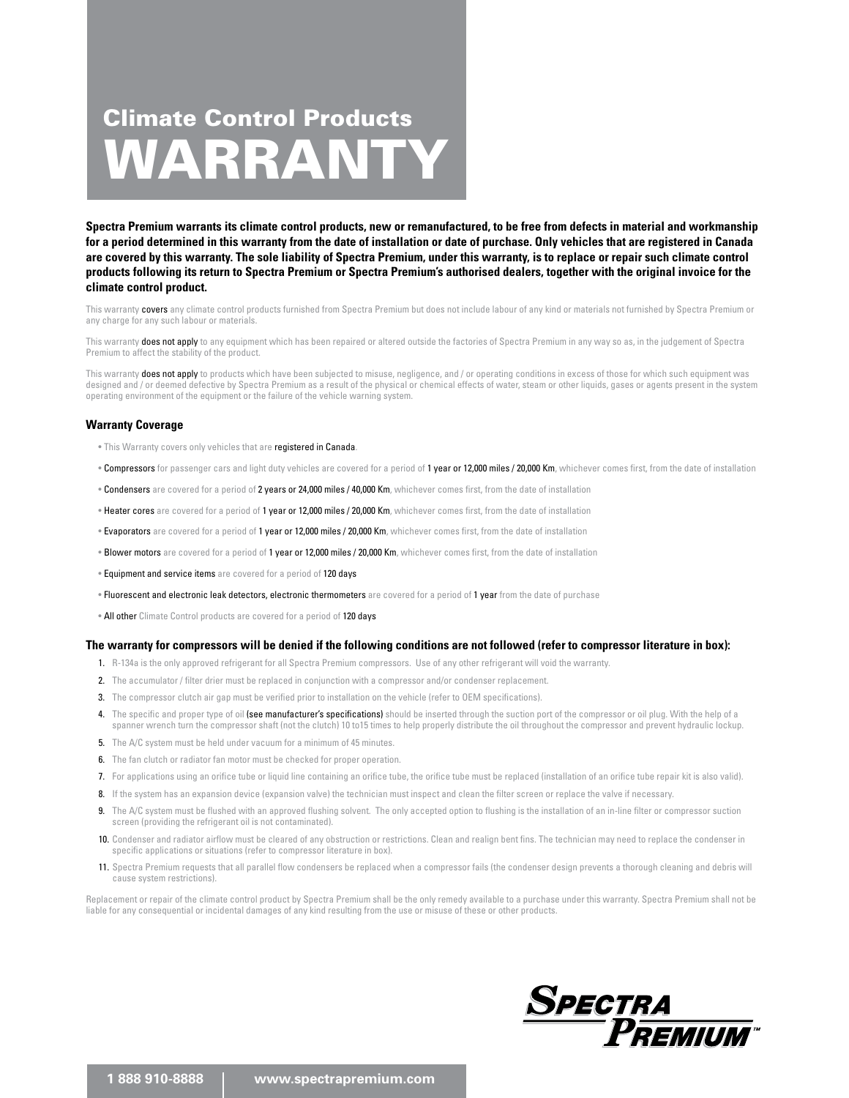# WARRANTY Climate Control Products

**Spectra Premium warrants its climate control products, new or remanufactured, to be free from defects in material and workmanship for a period determined in this warranty from the date of installation or date of purchase. Only vehicles that are registered in Canada are covered by this warranty. The sole liability of Spectra Premium, under this warranty, is to replace or repair such climate control products following its return to Spectra Premium or Spectra Premium's authorised dealers, together with the original invoice for the climate control product.** 

This warranty covers any climate control products furnished from Spectra Premium but does not include labour of any kind or materials not furnished by Spectra Premium or any charge for any such labour or materials.

This warranty does not apply to any equipment which has been repaired or altered outside the factories of Spectra Premium in any way so as, in the judgement of Spectra Premium to affect the stability of the product.

This warranty does not apply to products which have been subjected to misuse, negligence, and / or operating conditions in excess of those for which such equipment was designed and / or deemed defective by Spectra Premium as a result of the physical or chemical effects of water, steam or other liquids, gases or agents present in the system operating environment of the equipment or the failure of the vehicle warning system.

#### **Warranty Coverage**

- This Warranty covers only vehicles that are registered in Canada
- . Compressors for passenger cars and light duty vehicles are covered for a period of 1 year or 12,000 miles / 20,000 Km, whichever comes first, from the date of installation
- . Condensers are covered for a period of 2 years or 24,000 miles / 40,000 Km, whichever comes first, from the date of installation
- Heater cores are covered for a period of 1 year or 12,000 miles / 20,000 Km, whichever comes first, from the date of installation
- · Evaporators are covered for a period of 1 year or 12,000 miles / 20,000 Km, whichever comes first, from the date of installation
- Blower motors are covered for a period of 1 year or 12,000 miles / 20,000 Km, whichever comes first, from the date of installation
- Equipment and service items are covered for a period of 120 days
- **Fluorescent and electronic leak detectors, electronic thermometers** are covered for a period of 1 year from the date of purchase
- All other Climate Control products are covered for a period of 120 days

#### **The warranty for compressors will be denied if the following conditions are not followed (refer to compressor literature in box):**

- 1. R-134a is the only approved refrigerant for all Spectra Premium compressors. Use of any other refrigerant will void the warranty.
- 2. The accumulator / filter drier must be replaced in conjunction with a compressor and/or condenser replacement.
- 3. The compressor clutch air gap must be verified prior to installation on the vehicle (refer to OEM specifications).
- 4. The specific and proper type of oil (see manufacturer's specifications) should be inserted through the suction port of the compressor or oil plug. With the help of a spanner wrench turn the compressor shaft (not the clutch) 10 to15 times to help properly distribute the oil throughout the compressor and prevent hydraulic lockup.
- 5. The A/C system must be held under vacuum for a minimum of 45 minutes.
- 6. The fan clutch or radiator fan motor must be checked for proper operation.
- 7. For applications using an orifice tube or liquid line containing an orifice tube, the orifice tube must be replaced (installation of an orifice tube repair kit is also valid).
- 8. If the system has an expansion device (expansion valve) the technician must inspect and clean the filter screen or replace the valve if necessary.
- 9. The A/C system must be flushed with an approved flushing solvent. The only accepted option to flushing is the installation of an in-line filter or compressor suction screen (providing the refrigerant oil is not contaminated).
- 10. Condenser and radiator airflow must be cleared of any obstruction or restrictions. Clean and realign bent fins. The technician may need to replace the condenser in specific applications or situations (refer to compressor literature in box).
- 11. Spectra Premium requests that all parallel flow condensers be replaced when a compressor fails (the condenser design prevents a thorough cleaning and debris will cause system restrictions).

Replacement or repair of the climate control product by Spectra Premium shall be the only remedy available to a purchase under this warranty. Spectra Premium shall not be liable for any consequential or incidental damages of any kind resulting from the use or misuse of these or other products.

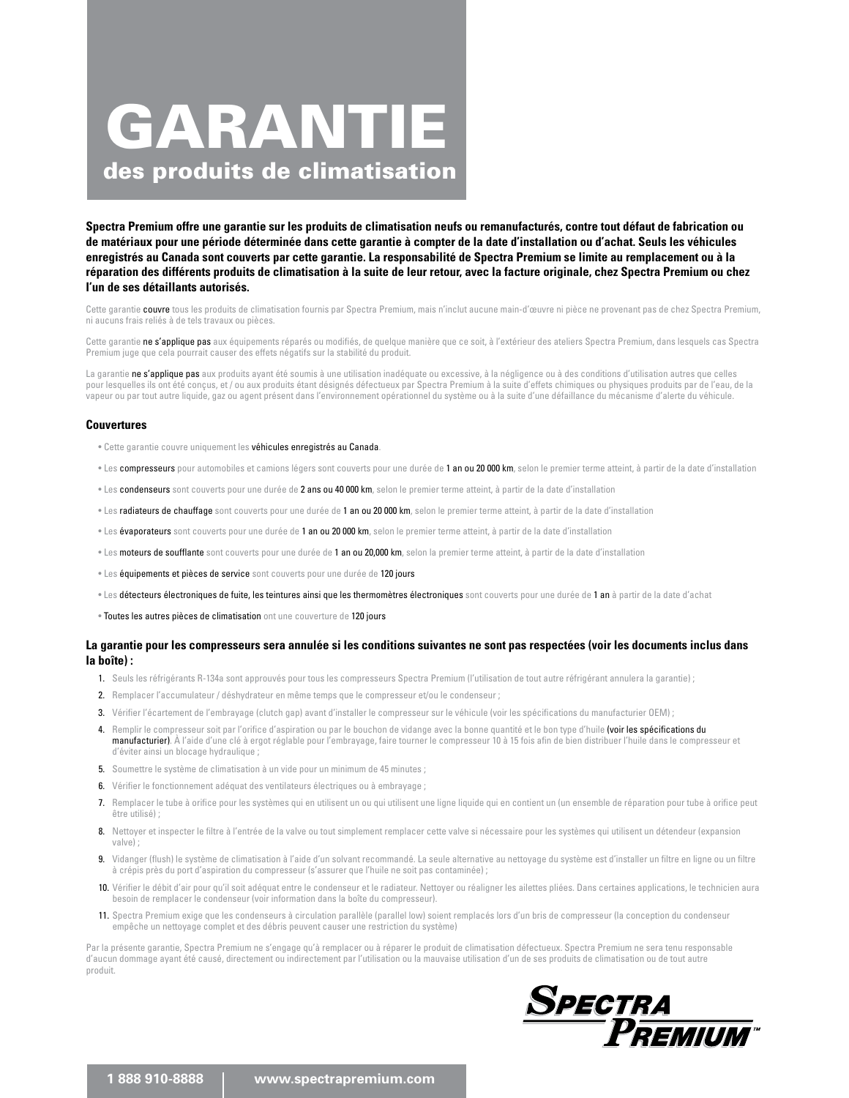# GARANTIE des produits de climatisation

**Spectra Premium offre une garantie sur les produits de climatisation neufs ou remanufacturés, contre tout défaut de fabrication ou de matériaux pour une période déterminée dans cette garantie à compter de la date d'installation ou d'achat. Seuls les véhicules enregistrés au Canada sont couverts par cette garantie. La responsabilité de Spectra Premium se limite au remplacement ou à la réparation des différents produits de climatisation à la suite de leur retour, avec la facture originale, chez Spectra Premium ou chez l'un de ses détaillants autorisés.** 

Cette garantie couvre tous les produits de climatisation fournis par Spectra Premium, mais n'inclut aucune main-d'œuvre ni pièce ne provenant pas de chez Spectra Premium, ni aucuns frais reliés à de tels travaux ou pièces.

Cette garantie ne s'applique pas aux équipements réparés ou modifiés, de quelque manière que ce soit, à l'extérieur des ateliers Spectra Premium, dans lesquels cas Spectra Premium juge que cela pourrait causer des effets négatifs sur la stabilité du produit.

La garantie ne s'applique pas aux produits ayant été soumis à une utilisation inadéquate ou excessive, à la négligence ou à des conditions d'utilisation autres que celles pour lesquelles ils ont été concus, et / ou aux produits étant désignés défectueux par Spectra Premium à la suite d'effets chimiques ou physiques produits par de l'eau, de la vapeur ou par tout autre liquide, gaz ou agent présent dans l'environnement opérationnel du système ou à la suite d'une défaillance du mécanisme d'alerte du véhicule.

#### **Couvertures**

- Cette garantie couvre uniquement les véhicules enregistrés au Canada.
- Les compresseurs pour automobiles et camions légers sont couverts pour une durée de 1 an ou 20 000 km, selon le premier terme atteint, à partir de la date d'installation
- Les condenseurs sont couverts pour une durée de 2 ans ou 40 000 km, selon le premier terme atteint, à partir de la date d'installation
- · Les radiateurs de chauffage sont couverts pour une durée de 1 an ou 20 000 km, selon le premier terme atteint, à partir de la date d'installation
- Les évaporateurs sont couverts pour une durée de 1 an ou 20 000 km, selon le premier terme atteint, à partir de la date d'installation
- Les moteurs de soufflante sont couverts pour une durée de 1 an ou 20,000 km, selon la premier terme atteint, à partir de la date d'installation
- Les équipements et pièces de service sont couverts pour une durée de 120 jours
- · Les détecteurs électroniques de fuite, les teintures ainsi que les thermomètres électroniques sont couverts pour une durée de 1 an à partir de la date d'achat
- Toutes les autres pièces de climatisation ont une couverture de 120 jours

#### **La garantie pour les compresseurs sera annulée si les conditions suivantes ne sont pas respectées (voir les documents inclus dans la boîte) :**

- 1. Seuls les réfrigérants R-134a sont approuvés pour tous les compresseurs Spectra Premium (l'utilisation de tout autre réfrigérant annulera la garantie) ;
- 2. Remplacer l'accumulateur / déshydrateur en même temps que le compresseur et/ou le condenseur ;
- 3. Vérifier l'écartement de l'embrayage (clutch gap) avant d'installer le compresseur sur le véhicule (voir les spécifications du manufacturier OEM) ;
- 4. Remplir le compresseur soit par l'orifice d'aspiration ou par le bouchon de vidange avec la bonne quantité et le bon type d'huile (voir les spécifications du manufacturier). À l'aide d'une clé à ergot réglable pour l'embrayage, faire tourner le compresseur 10 à 15 fois afin de bien distribuer l'huile dans le compresseur et d'éviter ainsi un blocage hydraulique ;
- 5. Soumettre le système de climatisation à un vide pour un minimum de 45 minutes ;
- 6. Vérifier le fonctionnement adéquat des ventilateurs électriques ou à embrayage ;
- 7. Remplacer le tube à orifice pour les systèmes qui en utilisent un ou qui utilisent une ligne liquide qui en contient un (un ensemble de réparation pour tube à orifice peut être utilisé) ;
- 8. Nettoyer et inspecter le filtre à l'entrée de la valve ou tout simplement remplacer cette valve si nécessaire pour les systèmes qui utilisent un détendeur (expansion valve) ;
- 9. Vidanger (flush) le système de climatisation à l'aide d'un solvant recommandé. La seule alternative au nettoyage du système est d'installer un filtre en ligne ou un filtre à crépis près du port d'aspiration du compresseur (s'assurer que l'huile ne soit pas contaminée) ;
- 10. Vérifier le débit d'air pour qu'il soit adéquat entre le condenseur et le radiateur. Nettoyer ou réaligner les ailettes pliées. Dans certaines applications, le technicien aura besoin de remplacer le condenseur (voir information dans la boîte du compresseur).
- 11. Spectra Premium exige que les condenseurs à circulation parallèle (parallel low) soient remplacés lors d'un bris de compresseur (la conception du condenseur empêche un nettoyage complet et des débris peuvent causer une restriction du système)

Par la présente garantie, Spectra Premium ne s'engage qu'à remplacer ou à réparer le produit de climatisation défectueux. Spectra Premium ne sera tenu responsable d'aucun dommage ayant été causé, directement ou indirectement par l'utilisation ou la mauvaise utilisation d'un de ses produits de climatisation ou de tout autre produit.